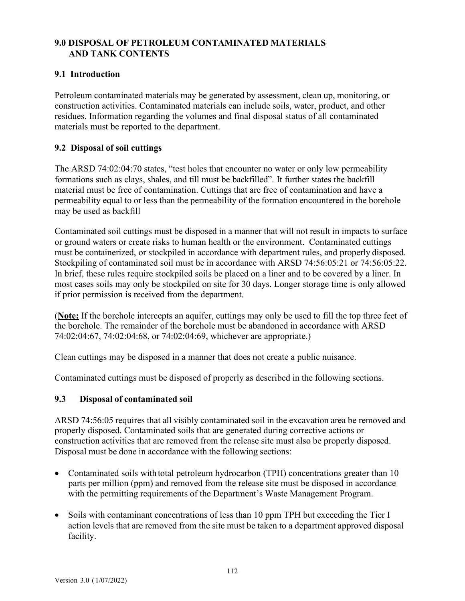# **9.0 DISPOSAL OF PETROLEUM CONTAMINATED MATERIALS AND TANK CONTENTS**

#### **9.1 Introduction**

Petroleum contaminated materials may be generated by assessment, clean up, monitoring, or construction activities. Contaminated materials can include soils, water, product, and other residues. Information regarding the volumes and final disposal status of all contaminated materials must be reported to the department.

#### **9.2 Disposal of soil cuttings**

The ARSD 74:02:04:70 states, "test holes that encounter no water or only low permeability formations such as clays, shales, and till must be backfilled". It further states the backfill material must be free of contamination. Cuttings that are free of contamination and have a permeability equal to or less than the permeability of the formation encountered in the borehole may be used as backfill

Contaminated soil cuttings must be disposed in a manner that will not result in impacts to surface or ground waters or create risks to human health or the environment. Contaminated cuttings must be containerized, or stockpiled in accordance with department rules, and properly disposed. Stockpiling of contaminated soil must be in accordance with ARSD 74:56:05:21 or 74:56:05:22. In brief, these rules require stockpiled soils be placed on a liner and to be covered by a liner. In most cases soils may only be stockpiled on site for 30 days. Longer storage time is only allowed if prior permission is received from the department.

(**Note:** If the borehole intercepts an aquifer, cuttings may only be used to fill the top three feet of the borehole. The remainder of the borehole must be abandoned in accordance with ARSD 74:02:04:67, 74:02:04:68, or 74:02:04:69, whichever are appropriate.)

Clean cuttings may be disposed in a manner that does not create a public nuisance.

Contaminated cuttings must be disposed of properly as described in the following sections.

#### **9.3 Disposal of contaminated soil**

ARSD 74:56:05 requires that all visibly contaminated soil in the excavation area be removed and properly disposed. Contaminated soils that are generated during corrective actions or construction activities that are removed from the release site must also be properly disposed. Disposal must be done in accordance with the following sections:

- Contaminated soils with total petroleum hydrocarbon (TPH) concentrations greater than 10 parts per million (ppm) and removed from the release site must be disposed in accordance with the permitting requirements of the Department's Waste Management Program.
- Soils with contaminant concentrations of less than 10 ppm TPH but exceeding the Tier I action levels that are removed from the site must be taken to a department approved disposal facility.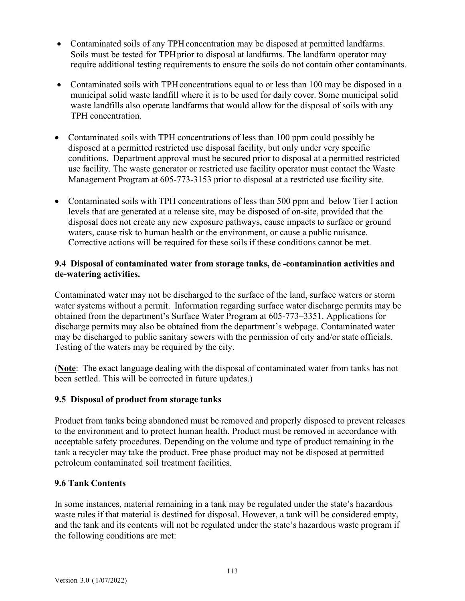- Contaminated soils of any TPH concentration may be disposed at permitted landfarms. Soils must be tested for TPH prior to disposal at landfarms. The landfarm operator may require additional testing requirements to ensure the soils do not contain other contaminants.
- Contaminated soils with TPH concentrations equal to or less than 100 may be disposed in a municipal solid waste landfill where it is to be used for daily cover. Some municipal solid waste landfills also operate landfarms that would allow for the disposal of soils with any TPH concentration.
- Contaminated soils with TPH concentrations of less than 100 ppm could possibly be disposed at a permitted restricted use disposal facility, but only under very specific conditions. Department approval must be secured prior to disposal at a permitted restricted use facility. The waste generator or restricted use facility operator must contact the Waste Management Program at 605-773-3153 prior to disposal at a restricted use facility site.
- Contaminated soils with TPH concentrations of less than 500 ppm and below Tier I action levels that are generated at a release site, may be disposed of on-site, provided that the disposal does not create any new exposure pathways, cause impacts to surface or ground waters, cause risk to human health or the environment, or cause a public nuisance. Corrective actions will be required for these soils if these conditions cannot be met.

# **9.4 Disposal of contaminated water from storage tanks, de -contamination activities and de-watering activities.**

Contaminated water may not be discharged to the surface of the land, surface waters or storm water systems without a permit. Information regarding surface water discharge permits may be obtained from the department's Surface Water Program at 605-773–3351. Applications for discharge permits may also be obtained from the department's webpage. Contaminated water may be discharged to public sanitary sewers with the permission of city and/or state officials. Testing of the waters may be required by the city.

(**Note**: The exact language dealing with the disposal of contaminated water from tanks has not been settled. This will be corrected in future updates.)

# **9.5 Disposal of product from storage tanks**

Product from tanks being abandoned must be removed and properly disposed to prevent releases to the environment and to protect human health. Product must be removed in accordance with acceptable safety procedures. Depending on the volume and type of product remaining in the tank a recycler may take the product. Free phase product may not be disposed at permitted petroleum contaminated soil treatment facilities.

# **9.6 Tank Contents**

In some instances, material remaining in a tank may be regulated under the state's hazardous waste rules if that material is destined for disposal. However, a tank will be considered empty, and the tank and its contents will not be regulated under the state's hazardous waste program if the following conditions are met: